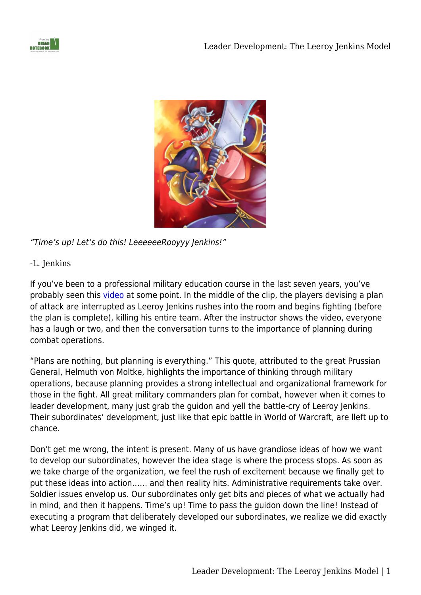



"Time's up! Let's do this! LeeeeeeRooyyy Jenkins!"

## -L. Jenkins

If you've been to a professional military education course in the last seven years, you've probably seen this [video](http://www.youtube.com/watch?v=LkCNJRfSZBU) at some point. In the middle of the clip, the players devising a plan of attack are interrupted as Leeroy Jenkins rushes into the room and begins fighting (before the plan is complete), killing his entire team. After the instructor shows the video, everyone has a laugh or two, and then the conversation turns to the importance of planning during combat operations.

"Plans are nothing, but planning is everything." This quote, attributed to the great Prussian General, Helmuth von Moltke, highlights the importance of thinking through military operations, because planning provides a strong intellectual and organizational framework for those in the fight. All great military commanders plan for combat, however when it comes to leader development, many just grab the guidon and yell the battle-cry of Leeroy Jenkins. Their subordinates' development, just like that epic battle in World of Warcraft, are lleft up to chance.

Don't get me wrong, the intent is present. Many of us have grandiose ideas of how we want to develop our subordinates, however the idea stage is where the process stops. As soon as we take charge of the organization, we feel the rush of excitement because we finally get to put these ideas into action…… and then reality hits. Administrative requirements take over. Soldier issues envelop us. Our subordinates only get bits and pieces of what we actually had in mind, and then it happens. Time's up! Time to pass the guidon down the line! Instead of executing a program that deliberately developed our subordinates, we realize we did exactly what Leeroy Jenkins did, we winged it.